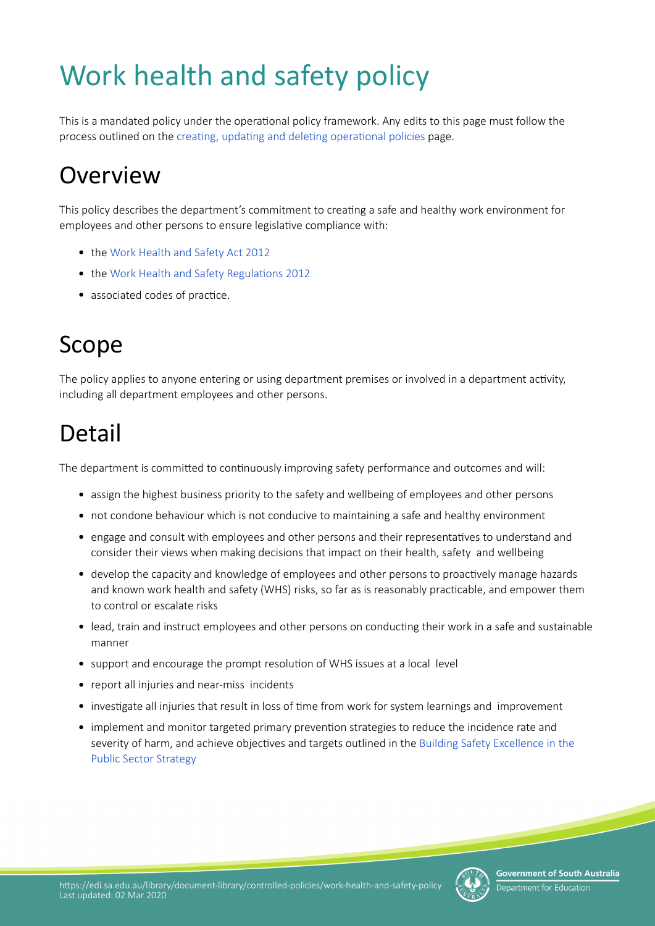# Work health and safety policy

This is a mandated policy under the operatonal policy framework. Any edits to this page must follow the process outlined on the creating, updating and deleting operational policies page.

### **Overview**

This policy describes the department's commitment to creating a safe and healthy work environment for employees and other persons to ensure legislative compliance with:

- the [Work Health and Safety Act 2012](https://www.legislation.sa.gov.au/LZ/C/A/WORK%20HEALTH%20AND%20SAFETY%20ACT%202012.aspx)
- the Work Health and Safety Regulations 2012
- associated codes of practice.

### Scope

The policy applies to anyone entering or using department premises or involved in a department actvity, including all department employees and other persons.

### Detail

The department is committed to continuously improving safety performance and outcomes and will:

- assign the highest business priority to the safety and wellbeing of employees and other persons
- not condone behaviour which is not conducive to maintaining a safe and healthy environment
- engage and consult with employees and other persons and their representatves to understand and consider their views when making decisions that impact on their health, safety and wellbeing
- develop the capacity and knowledge of employees and other persons to proactively manage hazards and known work health and safety (WHS) risks, so far as is reasonably practicable, and empower them to control or escalate risks
- lead, train and instruct employees and other persons on conducting their work in a safe and sustainable manner
- support and encourage the prompt resolution of WHS issues at a local level
- report all injuries and near-miss incidents
- investigate all injuries that result in loss of time from work for system learnings and improvement
- implement and monitor targeted primary prevention strategies to reduce the incidence rate and severity of harm, and achieve objectives and targets outlined in the Building Safety Excellence in the [Public Sector Strategy](https://publicsector.sa.gov.au/wp-content/uploads/20170428-Building-Safety-Excellence.pdf)

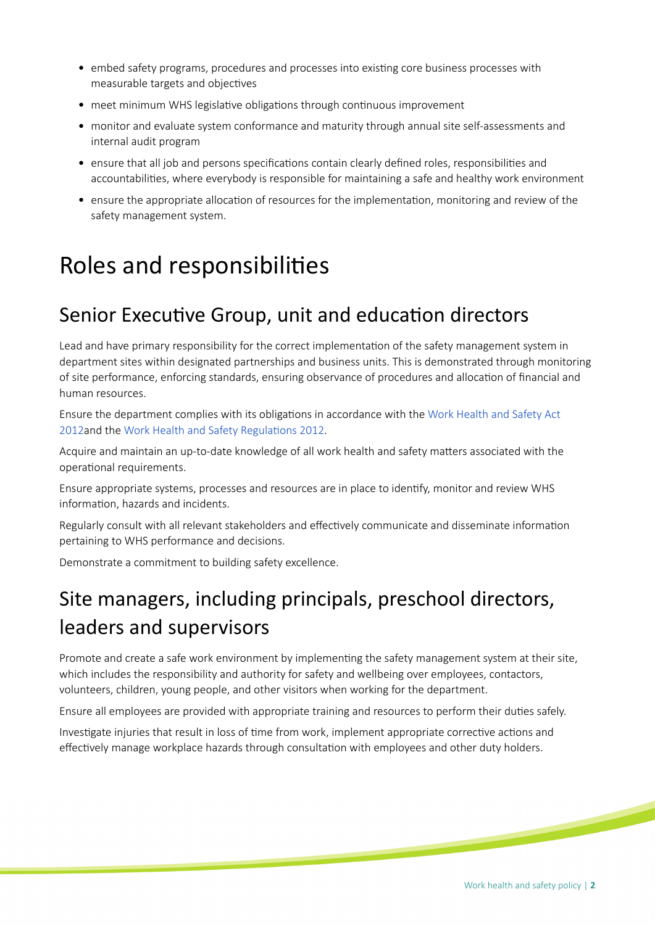- embed safety programs, procedures and processes into existng core business processes with measurable targets and objectives
- meet minimum WHS legislative obligations through continuous improvement
- monitor and evaluate system conformance and maturity through annual site self-assessments and internal audit program
- ensure that all job and persons specifications contain clearly defined roles, responsibilities and accountabilites, where everybody is responsible for maintaining a safe and healthy work environment
- ensure the appropriate allocaton of resources for the implementaton, monitoring and review of the safety management system.

### Roles and responsibilites

#### Senior Executive Group, unit and education directors

Lead and have primary responsibility for the correct implementation of the safety management system in department sites within designated partnerships and business units. This is demonstrated through monitoring of site performance, enforcing standards, ensuring observance of procedures and allocation of financial and human resources.

Ensure the department complies with its obligatons in accordance with the [Work Health and Safety Act](https://www.legislation.sa.gov.au/LZ/C/A/WORK%20HEALTH%20AND%20SAFETY%20ACT%202012.aspx)  [2012](https://www.legislation.sa.gov.au/LZ/C/A/WORK%20HEALTH%20AND%20SAFETY%20ACT%202012.aspx)and the Work Health and Safety Regulations 2012.

Acquire and maintain an up-to-date knowledge of all work health and safety maters associated with the operational requirements.

Ensure appropriate systems, processes and resources are in place to identfy, monitor and review WHS information, hazards and incidents.

Regularly consult with all relevant stakeholders and effectively communicate and disseminate information pertaining to WHS performance and decisions.

Demonstrate a commitment to building safety excellence.

#### Site managers, including principals, preschool directors, leaders and supervisors

Promote and create a safe work environment by implementing the safety management system at their site, which includes the responsibility and authority for safety and wellbeing over employees, contactors, volunteers, children, young people, and other visitors when working for the department.

Ensure all employees are provided with appropriate training and resources to perform their dutes safely.

Investigate injuries that result in loss of time from work, implement appropriate corrective actions and effectively manage workplace hazards through consultation with employees and other duty holders.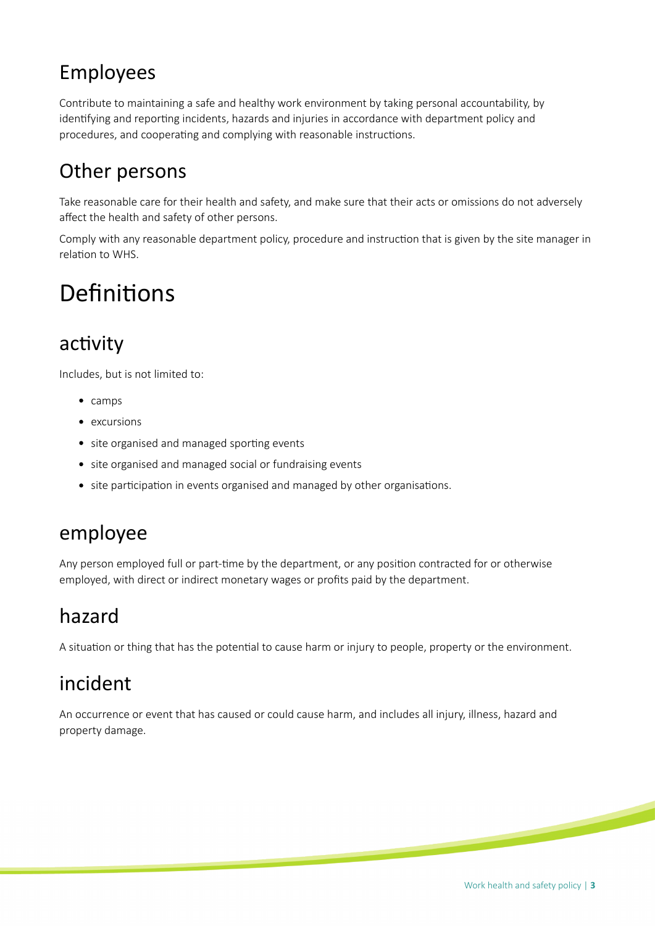#### Employees

Contribute to maintaining a safe and healthy work environment by taking personal accountability, by identifying and reporting incidents, hazards and injuries in accordance with department policy and procedures, and cooperating and complying with reasonable instructions.

#### Other persons

Take reasonable care for their health and safety, and make sure that their acts or omissions do not adversely afect the health and safety of other persons.

Comply with any reasonable department policy, procedure and instruction that is given by the site manager in relation to WHS.

### Definitions

#### activity

Includes, but is not limited to:

- camps
- excursions
- site organised and managed sporting events
- site organised and managed social or fundraising events
- site participation in events organised and managed by other organisations.

#### employee

Any person employed full or part-tme by the department, or any positon contracted for or otherwise employed, with direct or indirect monetary wages or profts paid by the department.

#### hazard

A situation or thing that has the potential to cause harm or injury to people, property or the environment.

#### incident

An occurrence or event that has caused or could cause harm, and includes all injury, illness, hazard and property damage.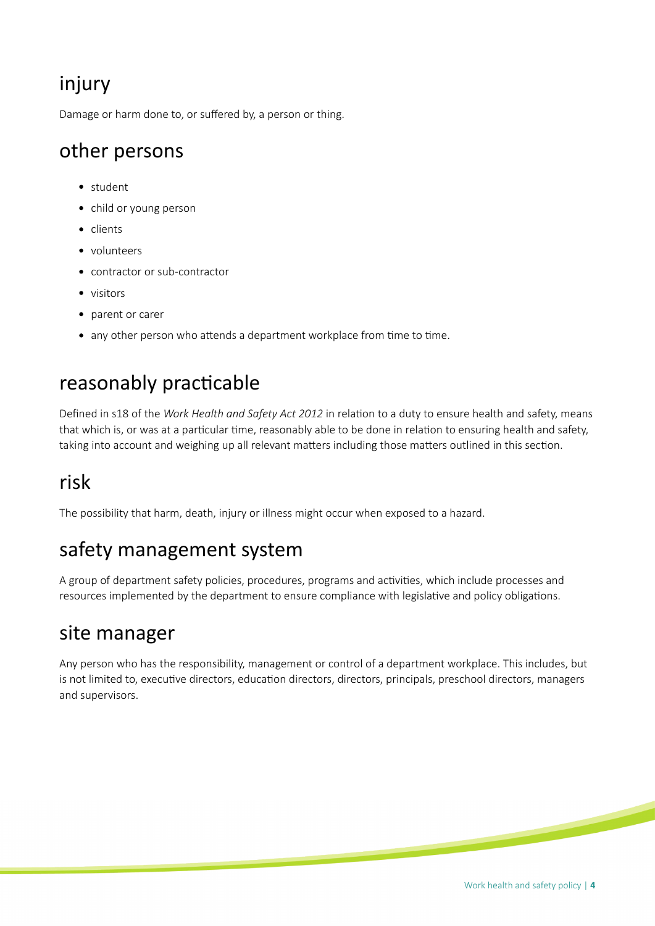#### injury

Damage or harm done to, or sufered by, a person or thing.

#### other persons

- student
- child or young person
- clients
- volunteers
- contractor or sub-contractor
- visitors
- parent or carer
- any other person who attends a department workplace from time to time.

#### reasonably practicable

Defned in s18 of the *Work Health and Safety Act 2012* in relaton to a duty to ensure health and safety, means that which is, or was at a particular time, reasonably able to be done in relation to ensuring health and safety, taking into account and weighing up all relevant matters including those matters outlined in this section.

#### risk

The possibility that harm, death, injury or illness might occur when exposed to a hazard.

#### safety management system

A group of department safety policies, procedures, programs and activities, which include processes and resources implemented by the department to ensure compliance with legislative and policy obligations.

#### site manager

Any person who has the responsibility, management or control of a department workplace. This includes, but is not limited to, executive directors, education directors, directors, principals, preschool directors, managers and supervisors.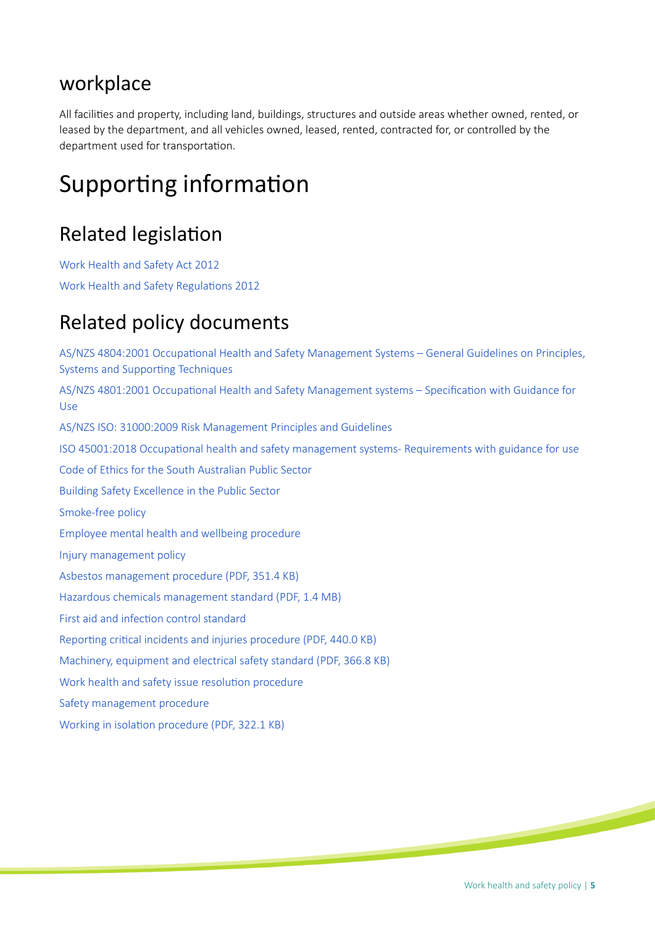#### workplace

All facilites and property, including land, buildings, structures and outside areas whether owned, rented, or leased by the department, and all vehicles owned, leased, rented, contracted for, or controlled by the department used for transportation.

### Supporting information

#### **Related legislation**

[Work Health and Safety Act 2012](https://www.legislation.sa.gov.au/LZ/C/A/WORK%20HEALTH%20AND%20SAFETY%20ACT%202012.aspx) Work Health and Safety Regulations 2012

#### Related policy documents

AS/NZS 4804:2001 Occupational Health and Safety Management Systems - General Guidelines on Principles, Systems and Supporting Techniques AS/NZS 4801:2001 Occupational Health and Safety Management systems - Specification with Guidance for [Use](https://www.saiglobal.com/PDFTemp/Previews/OSH/as/as4000/4800/4801.pdf) [AS/NZS ISO: 31000:2009 Risk Management Principles and Guidelines](https://www.iso.org/standard/43170.html) ISO 45001:2018 Occupational health and safety management systems- Requirements with guidance for use [Code of Ethics for the South Australian Public Sector](https://publicsector.sa.gov.au/policies-standards/code-of-ethics) [Building Safety Excellence in the Public Sector](https://publicsector.sa.gov.au/documents/20170428-building-safety-excellence) [Smoke-free policy](https://edi.sa.edu.au/library/document-library/controlled-policies/smoke-free-policy) [Employee mental health and wellbeing procedure](https://edi.sa.edu.au/library/document-library/controlled-procedures/employee-mental-health-and-wellbeing-procedure) [Injury management policy](https://edi.sa.edu.au/library/document-library/controlled-policies/injury-management-policy) [Asbestos management procedure \(PDF, 351.4 KB\)](https://edi.sa.edu.au/library/document-library/controlled-procedures/asbestos-management-procedure.pdf) [Hazardous chemicals management standard \(PDF, 1.4 MB\)](https://edi.sa.edu.au/library/document-library/controlled-procedures/hazardous-chemicals-management-standard.pdf) First aid and infection control standard Reporting critical incidents and injuries procedure (PDF, 440.0 KB) [Machinery, equipment and electrical safety standard \(PDF, 366.8 KB\)](https://edi.sa.edu.au/library/document-library/controlled-standards/machinery-equipment-and-electrical-safety-standard.pdf) Work health and safety issue resolution procedure [Safety management procedure](https://edi.sa.edu.au/library/document-library/controlled-procedures/safety-management-procedure) Working in isolation procedure (PDF, 322.1 KB)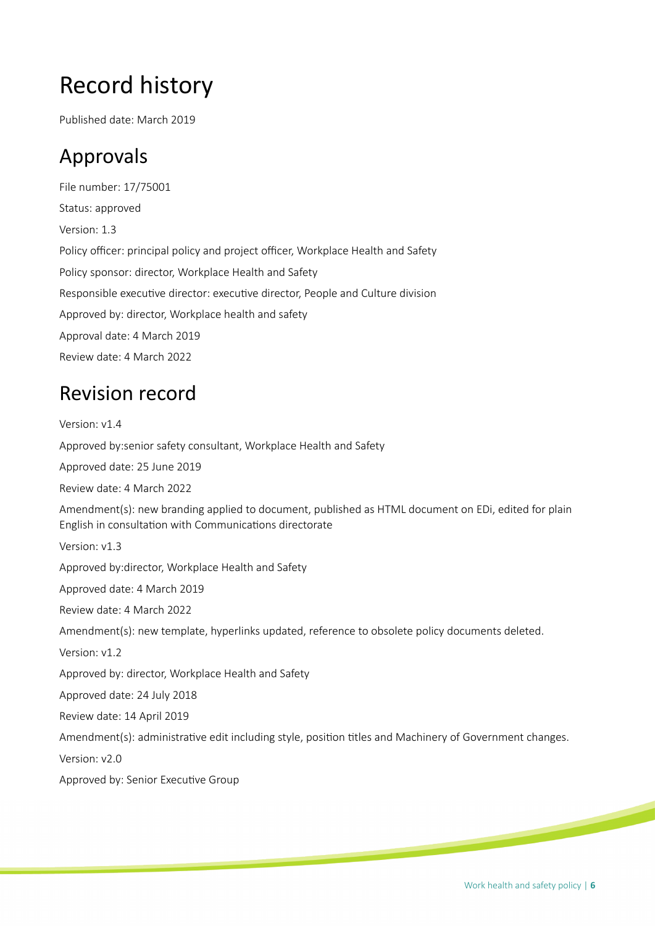## Record history

Published date: March 2019

#### Approvals

File number: 17/75001 Status: approved Version: 1.3 Policy officer: principal policy and project officer, Workplace Health and Safety Policy sponsor: director, Workplace Health and Safety Responsible executive director: executive director, People and Culture division Approved by: director, Workplace health and safety Approval date: 4 March 2019 Review date: 4 March 2022

#### Revision record

Version: v1.4 Approved by:senior safety consultant, Workplace Health and Safety Approved date: 25 June 2019 Review date: 4 March 2022 Amendment(s): new branding applied to document, published as HTML document on EDi, edited for plain English in consultation with Communications directorate Version: v1.3 Approved by:director, Workplace Health and Safety Approved date: 4 March 2019 Review date: 4 March 2022 Amendment(s): new template, hyperlinks updated, reference to obsolete policy documents deleted. Version: v1.2 Approved by: director, Workplace Health and Safety Approved date: 24 July 2018 Review date: 14 April 2019 Amendment(s): administrative edit including style, position titles and Machinery of Government changes. Version: v2.0

Approved by: Senior Executive Group